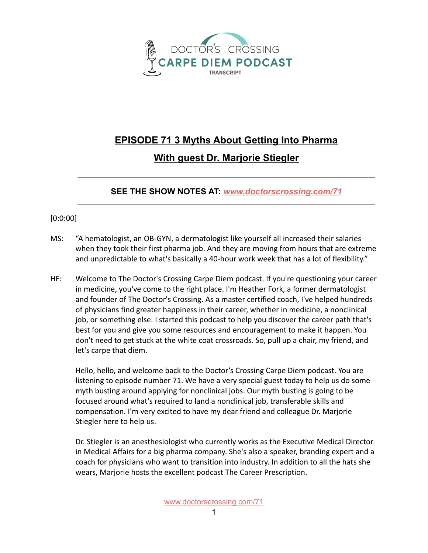

## **EPISODE 71 3 Myths About Getting Into Pharma With guest Dr. Marjorie Stiegler**

## **SEE THE SHOW NOTES AT:** *[www.doctorscrossing.com/71](http://www.doctorscrossing.com/71)*

## [0:0:00]

- MS: "A hematologist, an OB-GYN, a dermatologist like yourself all increased their salaries when they took their first pharma job. And they are moving from hours that are extreme and unpredictable to what's basically a 40-hour work week that has a lot of flexibility."
- HF: Welcome to The Doctor's Crossing Carpe Diem podcast. If you're questioning your career in medicine, you've come to the right place. I'm Heather Fork, a former dermatologist and founder of The Doctor's Crossing. As a master certified coach, I've helped hundreds of physicians find greater happiness in their career, whether in medicine, a nonclinical job, or something else. I started this podcast to help you discover the career path that's best for you and give you some resources and encouragement to make it happen. You don't need to get stuck at the white coat crossroads. So, pull up a chair, my friend, and let's carpe that diem.

Hello, hello, and welcome back to the Doctor's Crossing Carpe Diem podcast. You are listening to episode number 71. We have a very special guest today to help us do some myth busting around applying for nonclinical jobs. Our myth busting is going to be focused around what's required to land a nonclinical job, transferable skills and compensation. I'm very excited to have my dear friend and colleague Dr. Marjorie Stiegler here to help us.

Dr. Stiegler is an anesthesiologist who currently works as the Executive Medical Director in Medical Affairs for a big pharma company. She's also a speaker, branding expert and a coach for physicians who want to transition into industry. In addition to all the hats she wears, Marjorie hosts the excellent podcast The Career Prescription.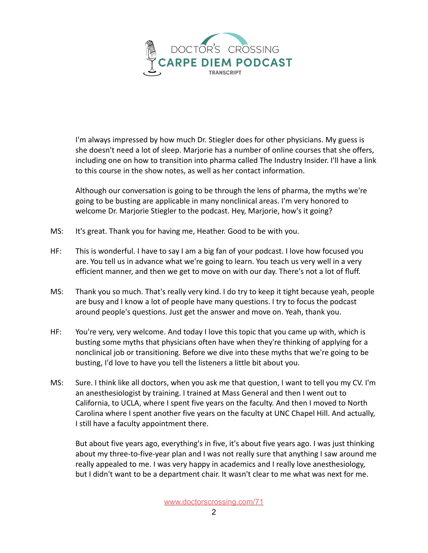

I'm always impressed by how much Dr. Stiegler does for other physicians. My guess is she doesn't need a lot of sleep. Marjorie has a number of online courses that she offers, including one on how to transition into pharma called The Industry Insider. I'll have a link to this course in the show notes, as well as her contact information.

Although our conversation is going to be through the lens of pharma, the myths we're going to be busting are applicable in many nonclinical areas. I'm very honored to welcome Dr. Marjorie Stiegler to the podcast. Hey, Marjorie, how's it going?

- MS: It's great. Thank you for having me, Heather. Good to be with you.
- HF: This is wonderful. I have to say I am a big fan of your podcast. I love how focused you are. You tell us in advance what we're going to learn. You teach us very well in a very efficient manner, and then we get to move on with our day. There's not a lot of fluff.
- MS: Thank you so much. That's really very kind. I do try to keep it tight because yeah, people are busy and I know a lot of people have many questions. I try to focus the podcast around people's questions. Just get the answer and move on. Yeah, thank you.
- HF: You're very, very welcome. And today I love this topic that you came up with, which is busting some myths that physicians often have when they're thinking of applying for a nonclinical job or transitioning. Before we dive into these myths that we're going to be busting, I'd love to have you tell the listeners a little bit about you.
- MS: Sure. I think like all doctors, when you ask me that question, I want to tell you my CV. I'm an anesthesiologist by training. I trained at Mass General and then I went out to California, to UCLA, where I spent five years on the faculty. And then I moved to North Carolina where I spent another five years on the faculty at UNC Chapel Hill. And actually, I still have a faculty appointment there.

But about five years ago, everything's in five, it's about five years ago. I was just thinking about my three-to-five-year plan and I was not really sure that anything I saw around me really appealed to me. I was very happy in academics and I really love anesthesiology, but I didn't want to be a department chair. It wasn't clear to me what was next for me.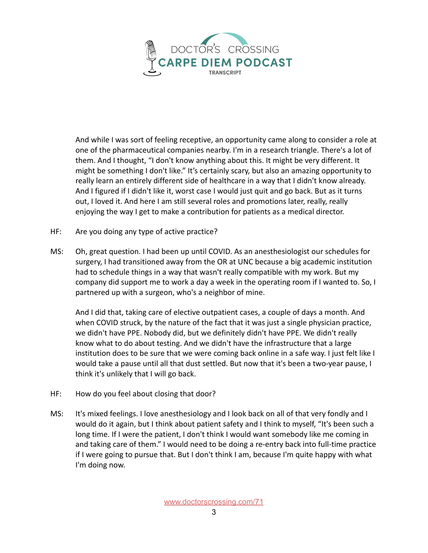

And while I was sort of feeling receptive, an opportunity came along to consider a role at one of the pharmaceutical companies nearby. I'm in a research triangle. There's a lot of them. And I thought, "I don't know anything about this. It might be very different. It might be something I don't like." It's certainly scary, but also an amazing opportunity to really learn an entirely different side of healthcare in a way that I didn't know already. And I figured if I didn't like it, worst case I would just quit and go back. But as it turns out, I loved it. And here I am still several roles and promotions later, really, really enjoying the way I get to make a contribution for patients as a medical director.

- HF: Are you doing any type of active practice?
- MS: Oh, great question. I had been up until COVID. As an anesthesiologist our schedules for surgery, I had transitioned away from the OR at UNC because a big academic institution had to schedule things in a way that wasn't really compatible with my work. But my company did support me to work a day a week in the operating room if I wanted to. So, I partnered up with a surgeon, who's a neighbor of mine.

And I did that, taking care of elective outpatient cases, a couple of days a month. And when COVID struck, by the nature of the fact that it was just a single physician practice, we didn't have PPE. Nobody did, but we definitely didn't have PPE. We didn't really know what to do about testing. And we didn't have the infrastructure that a large institution does to be sure that we were coming back online in a safe way. I just felt like I would take a pause until all that dust settled. But now that it's been a two-year pause, I think it's unlikely that I will go back.

- HF: How do you feel about closing that door?
- MS: It's mixed feelings. I love anesthesiology and I look back on all of that very fondly and I would do it again, but I think about patient safety and I think to myself, "It's been such a long time. If I were the patient, I don't think I would want somebody like me coming in and taking care of them." I would need to be doing a re-entry back into full-time practice if I were going to pursue that. But I don't think I am, because I'm quite happy with what I'm doing now.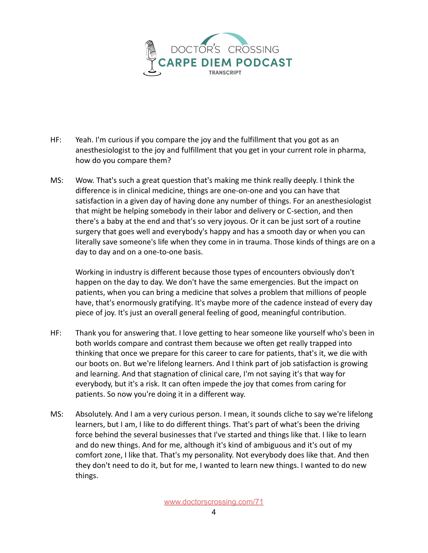

- HF: Yeah. I'm curious if you compare the joy and the fulfillment that you got as an anesthesiologist to the joy and fulfillment that you get in your current role in pharma, how do you compare them?
- MS: Wow. That's such a great question that's making me think really deeply. I think the difference is in clinical medicine, things are one-on-one and you can have that satisfaction in a given day of having done any number of things. For an anesthesiologist that might be helping somebody in their labor and delivery or C-section, and then there's a baby at the end and that's so very joyous. Or it can be just sort of a routine surgery that goes well and everybody's happy and has a smooth day or when you can literally save someone's life when they come in in trauma. Those kinds of things are on a day to day and on a one-to-one basis.

Working in industry is different because those types of encounters obviously don't happen on the day to day. We don't have the same emergencies. But the impact on patients, when you can bring a medicine that solves a problem that millions of people have, that's enormously gratifying. It's maybe more of the cadence instead of every day piece of joy. It's just an overall general feeling of good, meaningful contribution.

- HF: Thank you for answering that. I love getting to hear someone like yourself who's been in both worlds compare and contrast them because we often get really trapped into thinking that once we prepare for this career to care for patients, that's it, we die with our boots on. But we're lifelong learners. And I think part of job satisfaction is growing and learning. And that stagnation of clinical care, I'm not saying it's that way for everybody, but it's a risk. It can often impede the joy that comes from caring for patients. So now you're doing it in a different way.
- MS: Absolutely. And I am a very curious person. I mean, it sounds cliche to say we're lifelong learners, but I am, I like to do different things. That's part of what's been the driving force behind the several businesses that I've started and things like that. I like to learn and do new things. And for me, although it's kind of ambiguous and it's out of my comfort zone, I like that. That's my personality. Not everybody does like that. And then they don't need to do it, but for me, I wanted to learn new things. I wanted to do new things.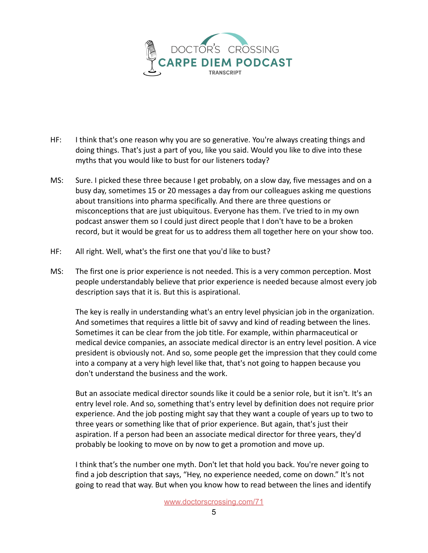

- HF: I think that's one reason why you are so generative. You're always creating things and doing things. That's just a part of you, like you said. Would you like to dive into these myths that you would like to bust for our listeners today?
- MS: Sure. I picked these three because I get probably, on a slow day, five messages and on a busy day, sometimes 15 or 20 messages a day from our colleagues asking me questions about transitions into pharma specifically. And there are three questions or misconceptions that are just ubiquitous. Everyone has them. I've tried to in my own podcast answer them so I could just direct people that I don't have to be a broken record, but it would be great for us to address them all together here on your show too.
- HF: All right. Well, what's the first one that you'd like to bust?
- MS: The first one is prior experience is not needed. This is a very common perception. Most people understandably believe that prior experience is needed because almost every job description says that it is. But this is aspirational.

The key is really in understanding what's an entry level physician job in the organization. And sometimes that requires a little bit of savvy and kind of reading between the lines. Sometimes it can be clear from the job title. For example, within pharmaceutical or medical device companies, an associate medical director is an entry level position. A vice president is obviously not. And so, some people get the impression that they could come into a company at a very high level like that, that's not going to happen because you don't understand the business and the work.

But an associate medical director sounds like it could be a senior role, but it isn't. It's an entry level role. And so, something that's entry level by definition does not require prior experience. And the job posting might say that they want a couple of years up to two to three years or something like that of prior experience. But again, that's just their aspiration. If a person had been an associate medical director for three years, they'd probably be looking to move on by now to get a promotion and move up.

I think that's the number one myth. Don't let that hold you back. You're never going to find a job description that says, "Hey, no experience needed, come on down." It's not going to read that way. But when you know how to read between the lines and identify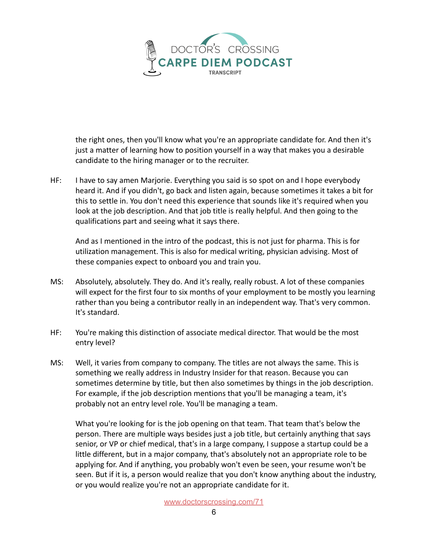

the right ones, then you'll know what you're an appropriate candidate for. And then it's just a matter of learning how to position yourself in a way that makes you a desirable candidate to the hiring manager or to the recruiter.

HF: I have to say amen Marjorie. Everything you said is so spot on and I hope everybody heard it. And if you didn't, go back and listen again, because sometimes it takes a bit for this to settle in. You don't need this experience that sounds like it's required when you look at the job description. And that job title is really helpful. And then going to the qualifications part and seeing what it says there.

And as I mentioned in the intro of the podcast, this is not just for pharma. This is for utilization management. This is also for medical writing, physician advising. Most of these companies expect to onboard you and train you.

- MS: Absolutely, absolutely. They do. And it's really, really robust. A lot of these companies will expect for the first four to six months of your employment to be mostly you learning rather than you being a contributor really in an independent way. That's very common. It's standard.
- HF: You're making this distinction of associate medical director. That would be the most entry level?
- MS: Well, it varies from company to company. The titles are not always the same. This is something we really address in Industry Insider for that reason. Because you can sometimes determine by title, but then also sometimes by things in the job description. For example, if the job description mentions that you'll be managing a team, it's probably not an entry level role. You'll be managing a team.

What you're looking for is the job opening on that team. That team that's below the person. There are multiple ways besides just a job title, but certainly anything that says senior, or VP or chief medical, that's in a large company, I suppose a startup could be a little different, but in a major company, that's absolutely not an appropriate role to be applying for. And if anything, you probably won't even be seen, your resume won't be seen. But if it is, a person would realize that you don't know anything about the industry, or you would realize you're not an appropriate candidate for it.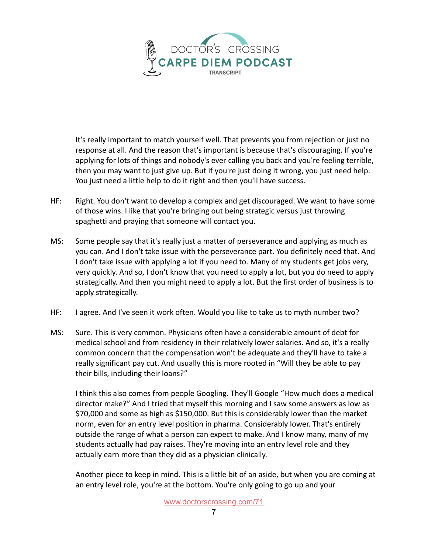

It's really important to match yourself well. That prevents you from rejection or just no response at all. And the reason that's important is because that's discouraging. If you're applying for lots of things and nobody's ever calling you back and you're feeling terrible, then you may want to just give up. But if you're just doing it wrong, you just need help. You just need a little help to do it right and then you'll have success.

- HF: Right. You don't want to develop a complex and get discouraged. We want to have some of those wins. I like that you're bringing out being strategic versus just throwing spaghetti and praying that someone will contact you.
- MS: Some people say that it's really just a matter of perseverance and applying as much as you can. And I don't take issue with the perseverance part. You definitely need that. And I don't take issue with applying a lot if you need to. Many of my students get jobs very, very quickly. And so, I don't know that you need to apply a lot, but you do need to apply strategically. And then you might need to apply a lot. But the first order of business is to apply strategically.
- HF: I agree. And I've seen it work often. Would you like to take us to myth number two?
- MS: Sure. This is very common. Physicians often have a considerable amount of debt for medical school and from residency in their relatively lower salaries. And so, it's a really common concern that the compensation won't be adequate and they'll have to take a really significant pay cut. And usually this is more rooted in "Will they be able to pay their bills, including their loans?"

I think this also comes from people Googling. They'll Google "How much does a medical director make?" And I tried that myself this morning and I saw some answers as low as \$70,000 and some as high as \$150,000. But this is considerably lower than the market norm, even for an entry level position in pharma. Considerably lower. That's entirely outside the range of what a person can expect to make. And I know many, many of my students actually had pay raises. They're moving into an entry level role and they actually earn more than they did as a physician clinically.

Another piece to keep in mind. This is a little bit of an aside, but when you are coming at an entry level role, you're at the bottom. You're only going to go up and your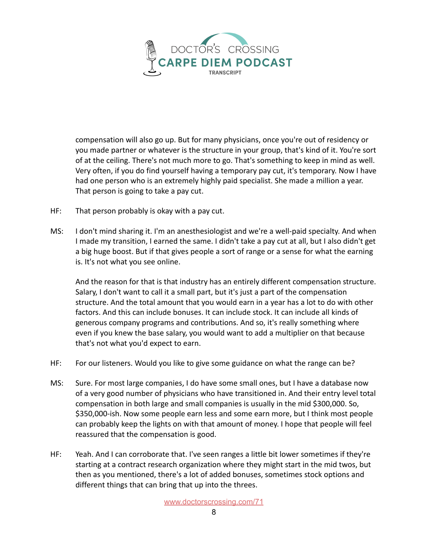

compensation will also go up. But for many physicians, once you're out of residency or you made partner or whatever is the structure in your group, that's kind of it. You're sort of at the ceiling. There's not much more to go. That's something to keep in mind as well. Very often, if you do find yourself having a temporary pay cut, it's temporary. Now I have had one person who is an extremely highly paid specialist. She made a million a year. That person is going to take a pay cut.

- HF: That person probably is okay with a pay cut.
- MS: I don't mind sharing it. I'm an anesthesiologist and we're a well-paid specialty. And when I made my transition, I earned the same. I didn't take a pay cut at all, but I also didn't get a big huge boost. But if that gives people a sort of range or a sense for what the earning is. It's not what you see online.

And the reason for that is that industry has an entirely different compensation structure. Salary, I don't want to call it a small part, but it's just a part of the compensation structure. And the total amount that you would earn in a year has a lot to do with other factors. And this can include bonuses. It can include stock. It can include all kinds of generous company programs and contributions. And so, it's really something where even if you knew the base salary, you would want to add a multiplier on that because that's not what you'd expect to earn.

- HF: For our listeners. Would you like to give some guidance on what the range can be?
- MS: Sure. For most large companies, I do have some small ones, but I have a database now of a very good number of physicians who have transitioned in. And their entry level total compensation in both large and small companies is usually in the mid \$300,000. So, \$350,000-ish. Now some people earn less and some earn more, but I think most people can probably keep the lights on with that amount of money. I hope that people will feel reassured that the compensation is good.
- HF: Yeah. And I can corroborate that. I've seen ranges a little bit lower sometimes if they're starting at a contract research organization where they might start in the mid twos, but then as you mentioned, there's a lot of added bonuses, sometimes stock options and different things that can bring that up into the threes.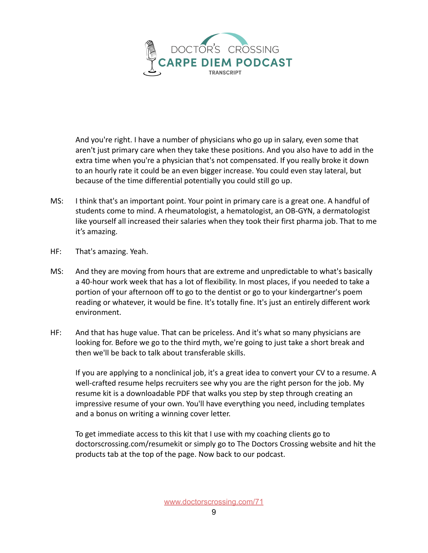

And you're right. I have a number of physicians who go up in salary, even some that aren't just primary care when they take these positions. And you also have to add in the extra time when you're a physician that's not compensated. If you really broke it down to an hourly rate it could be an even bigger increase. You could even stay lateral, but because of the time differential potentially you could still go up.

- MS: I think that's an important point. Your point in primary care is a great one. A handful of students come to mind. A rheumatologist, a hematologist, an OB-GYN, a dermatologist like yourself all increased their salaries when they took their first pharma job. That to me it's amazing.
- HF: That's amazing. Yeah.
- MS: And they are moving from hours that are extreme and unpredictable to what's basically a 40-hour work week that has a lot of flexibility. In most places, if you needed to take a portion of your afternoon off to go to the dentist or go to your kindergartner's poem reading or whatever, it would be fine. It's totally fine. It's just an entirely different work environment.
- HF: And that has huge value. That can be priceless. And it's what so many physicians are looking for. Before we go to the third myth, we're going to just take a short break and then we'll be back to talk about transferable skills.

If you are applying to a nonclinical job, it's a great idea to convert your CV to a resume. A well-crafted resume helps recruiters see why you are the right person for the job. My resume kit is a downloadable PDF that walks you step by step through creating an impressive resume of your own. You'll have everything you need, including templates and a bonus on writing a winning cover letter.

To get immediate access to this kit that I use with my coaching clients go to doctorscrossing.com/resumekit or simply go to The Doctors Crossing website and hit the products tab at the top of the page. Now back to our podcast.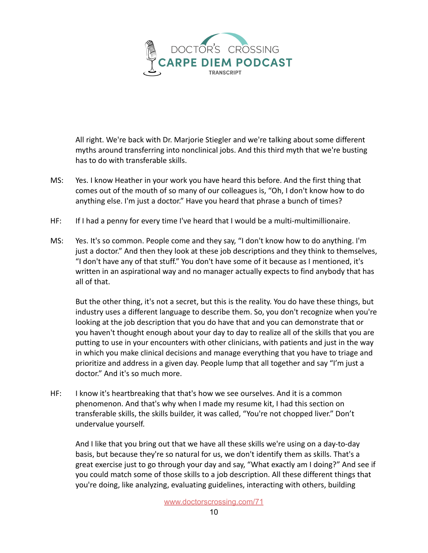

All right. We're back with Dr. Marjorie Stiegler and we're talking about some different myths around transferring into nonclinical jobs. And this third myth that we're busting has to do with transferable skills.

- MS: Yes. I know Heather in your work you have heard this before. And the first thing that comes out of the mouth of so many of our colleagues is, "Oh, I don't know how to do anything else. I'm just a doctor." Have you heard that phrase a bunch of times?
- HF: If I had a penny for every time I've heard that I would be a multi-multimillionaire.
- MS: Yes. It's so common. People come and they say, "I don't know how to do anything. I'm just a doctor." And then they look at these job descriptions and they think to themselves, "I don't have any of that stuff." You don't have some of it because as I mentioned, it's written in an aspirational way and no manager actually expects to find anybody that has all of that.

But the other thing, it's not a secret, but this is the reality. You do have these things, but industry uses a different language to describe them. So, you don't recognize when you're looking at the job description that you do have that and you can demonstrate that or you haven't thought enough about your day to day to realize all of the skills that you are putting to use in your encounters with other clinicians, with patients and just in the way in which you make clinical decisions and manage everything that you have to triage and prioritize and address in a given day. People lump that all together and say "I'm just a doctor." And it's so much more.

HF: I know it's heartbreaking that that's how we see ourselves. And it is a common phenomenon. And that's why when I made my resume kit, I had this section on transferable skills, the skills builder, it was called, "You're not chopped liver." Don't undervalue yourself.

And I like that you bring out that we have all these skills we're using on a day-to-day basis, but because they're so natural for us, we don't identify them as skills. That's a great exercise just to go through your day and say, "What exactly am I doing?" And see if you could match some of those skills to a job description. All these different things that you're doing, like analyzing, evaluating guidelines, interacting with others, building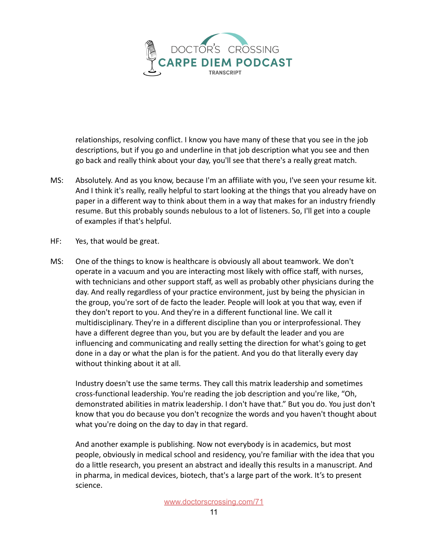

relationships, resolving conflict. I know you have many of these that you see in the job descriptions, but if you go and underline in that job description what you see and then go back and really think about your day, you'll see that there's a really great match.

- MS: Absolutely. And as you know, because I'm an affiliate with you, I've seen your resume kit. And I think it's really, really helpful to start looking at the things that you already have on paper in a different way to think about them in a way that makes for an industry friendly resume. But this probably sounds nebulous to a lot of listeners. So, I'll get into a couple of examples if that's helpful.
- HF: Yes, that would be great.
- MS: One of the things to know is healthcare is obviously all about teamwork. We don't operate in a vacuum and you are interacting most likely with office staff, with nurses, with technicians and other support staff, as well as probably other physicians during the day. And really regardless of your practice environment, just by being the physician in the group, you're sort of de facto the leader. People will look at you that way, even if they don't report to you. And they're in a different functional line. We call it multidisciplinary. They're in a different discipline than you or interprofessional. They have a different degree than you, but you are by default the leader and you are influencing and communicating and really setting the direction for what's going to get done in a day or what the plan is for the patient. And you do that literally every day without thinking about it at all.

Industry doesn't use the same terms. They call this matrix leadership and sometimes cross-functional leadership. You're reading the job description and you're like, "Oh, demonstrated abilities in matrix leadership. I don't have that." But you do. You just don't know that you do because you don't recognize the words and you haven't thought about what you're doing on the day to day in that regard.

And another example is publishing. Now not everybody is in academics, but most people, obviously in medical school and residency, you're familiar with the idea that you do a little research, you present an abstract and ideally this results in a manuscript. And in pharma, in medical devices, biotech, that's a large part of the work. It's to present science.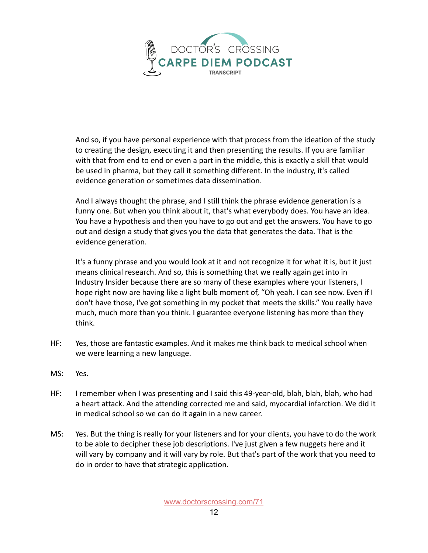

And so, if you have personal experience with that process from the ideation of the study to creating the design, executing it and then presenting the results. If you are familiar with that from end to end or even a part in the middle, this is exactly a skill that would be used in pharma, but they call it something different. In the industry, it's called evidence generation or sometimes data dissemination.

And I always thought the phrase, and I still think the phrase evidence generation is a funny one. But when you think about it, that's what everybody does. You have an idea. You have a hypothesis and then you have to go out and get the answers. You have to go out and design a study that gives you the data that generates the data. That is the evidence generation.

It's a funny phrase and you would look at it and not recognize it for what it is, but it just means clinical research. And so, this is something that we really again get into in Industry Insider because there are so many of these examples where your listeners, I hope right now are having like a light bulb moment of, "Oh yeah. I can see now. Even if I don't have those, I've got something in my pocket that meets the skills." You really have much, much more than you think. I guarantee everyone listening has more than they think.

- HF: Yes, those are fantastic examples. And it makes me think back to medical school when we were learning a new language.
- MS: Yes.
- HF: I remember when I was presenting and I said this 49-year-old, blah, blah, blah, who had a heart attack. And the attending corrected me and said, myocardial infarction. We did it in medical school so we can do it again in a new career.
- MS: Yes. But the thing is really for your listeners and for your clients, you have to do the work to be able to decipher these job descriptions. I've just given a few nuggets here and it will vary by company and it will vary by role. But that's part of the work that you need to do in order to have that strategic application.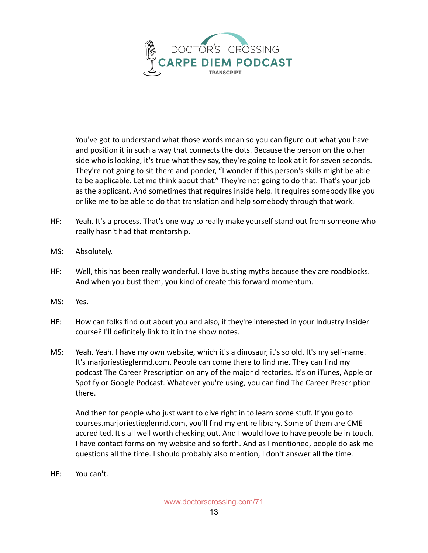

You've got to understand what those words mean so you can figure out what you have and position it in such a way that connects the dots. Because the person on the other side who is looking, it's true what they say, they're going to look at it for seven seconds. They're not going to sit there and ponder, "I wonder if this person's skills might be able to be applicable. Let me think about that." They're not going to do that. That's your job as the applicant. And sometimes that requires inside help. It requires somebody like you or like me to be able to do that translation and help somebody through that work.

- HF: Yeah. It's a process. That's one way to really make yourself stand out from someone who really hasn't had that mentorship.
- MS: Absolutely.
- HF: Well, this has been really wonderful. I love busting myths because they are roadblocks. And when you bust them, you kind of create this forward momentum.
- MS: Yes.
- HF: How can folks find out about you and also, if they're interested in your Industry Insider course? I'll definitely link to it in the show notes.
- MS: Yeah. Yeah. I have my own website, which it's a dinosaur, it's so old. It's my self-name. It's marjoriestieglermd.com. People can come there to find me. They can find my podcast The Career Prescription on any of the major directories. It's on iTunes, Apple or Spotify or Google Podcast. Whatever you're using, you can find The Career Prescription there.

And then for people who just want to dive right in to learn some stuff. If you go to courses.marjoriestieglermd.com, you'll find my entire library. Some of them are CME accredited. It's all well worth checking out. And I would love to have people be in touch. I have contact forms on my website and so forth. And as I mentioned, people do ask me questions all the time. I should probably also mention, I don't answer all the time.

HF: You can't.